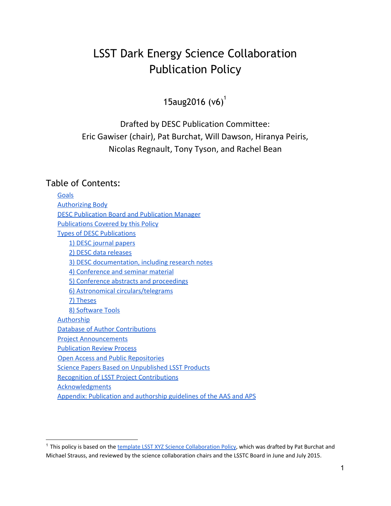# LSST Dark Energy Science Collaboration Publication Policy

15aug2016  $(v6)^{1}$ 

Drafted by DESC Publication Committee: Eric Gawiser (chair), Pat Burchat, Will Dawson, Hiranya Peiris, Nicolas Regnault, Tony Tyson, and Rachel Bean

#### Table of Contents:

**[Goals](#page-1-0) [Authorizing Body](#page-1-1)** [DESC Publication Board and Publication Manager](#page-1-2) [Publications Covered by this Policy](#page-2-0) [Types of DESC Publications](#page-3-0) [1\) DESC journal papers](#page-3-1) [2\) DESC data releases](#page-4-0) [3\) DESC documentation, including research notes](#page-4-1) [4\) Conference and seminar material](#page-4-2) [5\) Conference abstracts and proceedings](#page-5-0) [6\) Astronomical circulars/telegrams](#page-5-1) [7\) Theses](#page-5-2) [8\) Software Tools](#page-5-3) **[Authorship](#page-5-4)** [Database of Author Contributions](#page-7-0) Project Announcements [Publication Review Process](#page-7-1) [Open Access and Public Repositories](#page-9-0) [Science Papers Based on Unpublished LSST Products](#page-10-0) [Recognition of LSST Project Contributions](#page-10-1) **[Acknowledgments](#page-11-0)** [Appendix: Publication and authorship guidelines of the AAS and APS](#page-11-1)

<sup>&</sup>lt;sup>1</sup> This policy is based on the [template LSST XYZ Science Collaboration Policy,](https://docs.google.com/document/d/1CyzrxwRe_39rJz7GD7oAuNNTO-I0uRHXa107WNwCkaI/edit#heading=h.srmeh7iiv5mt) which was drafted by Pat Burchat and Michael Strauss, and reviewed by the science collaboration chairs and the LSSTC Board in June and July 2015.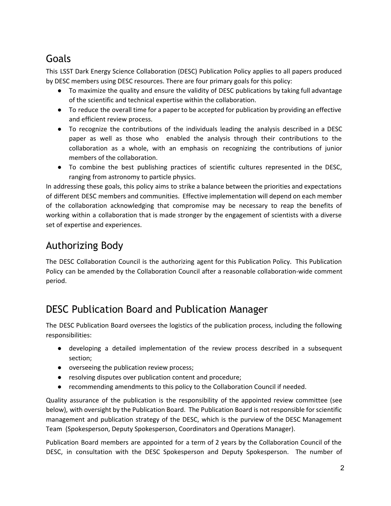# <span id="page-1-0"></span>Goals

This LSST Dark Energy Science Collaboration (DESC) Publication Policy applies to all papers produced by DESC members using DESC resources. There are four primary goals for this policy:

- To maximize the quality and ensure the validity of DESC publications by taking full advantage of the scientific and technical expertise within the collaboration.
- To reduce the overall time for a paper to be accepted for publication by providing an effective and efficient review process.
- To recognize the contributions of the individuals leading the analysis described in a DESC paper as well as those who enabled the analysis through their contributions to the collaboration as a whole, with an emphasis on recognizing the contributions of junior members of the collaboration.
- To combine the best publishing practices of scientific cultures represented in the DESC, ranging from astronomy to particle physics.

In addressing these goals, this policy aims to strike a balance between the priorities and expectations of different DESC members and communities. Effective implementation will depend on each member of the collaboration acknowledging that compromise may be necessary to reap the benefits of working within a collaboration that is made stronger by the engagement of scientists with a diverse set of expertise and experiences.

# <span id="page-1-1"></span>Authorizing Body

The DESC Collaboration Council is the authorizing agent for this Publication Policy. This Publication Policy can be amended by the Collaboration Council after a reasonable collaboration-wide comment period.

# <span id="page-1-2"></span>DESC Publication Board and Publication Manager

The DESC Publication Board oversees the logistics of the publication process, including the following responsibilities:

- developing a detailed implementation of the review process described in a subsequent section;
- overseeing the publication review process;
- resolving disputes over publication content and procedure;
- recommending amendments to this policy to the Collaboration Council if needed.

Quality assurance of the publication is the responsibility of the appointed review committee (see below), with oversight by the Publication Board. The Publication Board is not responsible for scientific management and publication strategy of the DESC, which is the purview of the DESC Management Team (Spokesperson, Deputy Spokesperson, Coordinators and Operations Manager).

Publication Board members are appointed for a term of 2 years by the Collaboration Council of the DESC, in consultation with the DESC Spokesperson and Deputy Spokesperson. The number of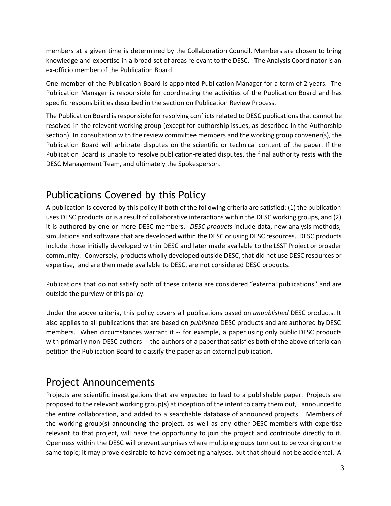members at a given time is determined by the Collaboration Council. Members are chosen to bring knowledge and expertise in a broad set of areas relevant to the DESC. The Analysis Coordinator is an ex-officio member of the Publication Board.

One member of the Publication Board is appointed Publication Manager for a term of 2 years. The Publication Manager is responsible for coordinating the activities of the Publication Board and has specific responsibilities described in the section on Publication Review Process.

The Publication Board is responsible for resolving conflicts related to DESC publications that cannot be resolved in the relevant working group (except for authorship issues, as described in the Authorship section). In consultation with the review committee members and the working group convener(s), the Publication Board will arbitrate disputes on the scientific or technical content of the paper. If the Publication Board is unable to resolve publication-related disputes, the final authority rests with the DESC Management Team, and ultimately the Spokesperson.

## <span id="page-2-0"></span>Publications Covered by this Policy

A publication is covered by this policy if both of the following criteria are satisfied: (1) the publication uses DESC products or is a result of collaborative interactions within the DESC working groups, and (2) it is authored by one or more DESC members. *DESC products* include data, new analysis methods, simulations and software that are developed within the DESC or using DESC resources. DESC products include those initially developed within DESC and later made available to the LSST Project or broader community. Conversely, products wholly developed outside DESC, that did not use DESC resources or expertise, and are then made available to DESC, are not considered DESC products.

Publications that do not satisfy both of these criteria are considered "external publications" and are outside the purview of this policy.

Under the above criteria, this policy covers all publications based on *unpublished* DESC products. It also applies to all publications that are based on *published* DESC products and are authored by DESC members. When circumstances warrant it -- for example, a paper using only public DESC products with primarily non-DESC authors -- the authors of a paper that satisfies both of the above criteria can petition the Publication Board to classify the paper as an external publication.

### Project Announcements

Projects are scientific investigations that are expected to lead to a publishable paper. Projects are proposed to the relevant working group(s) at inception of the intent to carry them out, announced to the entire collaboration, and added to a searchable database of announced projects. Members of the working group(s) announcing the project, as well as any other DESC members with expertise relevant to that project, will have the opportunity to join the project and contribute directly to it. Openness within the DESC will prevent surprises where multiple groups turn out to be working on the same topic; it may prove desirable to have competing analyses, but that should not be accidental. A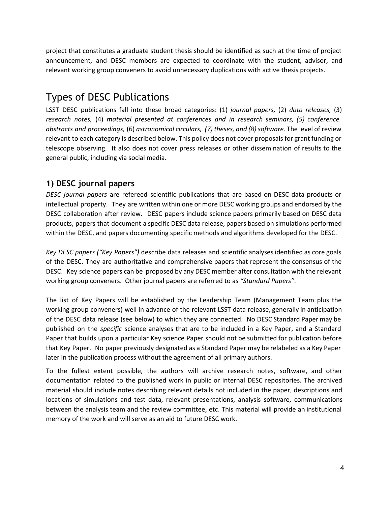project that constitutes a graduate student thesis should be identified as such at the time of project announcement, and DESC members are expected to coordinate with the student, advisor, and relevant working group conveners to avoid unnecessary duplications with active thesis projects.

## <span id="page-3-0"></span>Types of DESC Publications

LSST DESC publications fall into these broad categories: (1) *journal papers,* (2) *data releases,* (3) *research notes,* (4) *material presented at conferences and in research seminars, (5) conference abstracts and proceedings,* (6) *astronomical circulars, (7) theses, and (8) software.* The level of review relevant to each category is described below. This policy does not cover proposals for grant funding or telescope observing. It also does not cover press releases or other dissemination of results to the general public, including via social media.

### <span id="page-3-1"></span>**1) DESC journal papers**

*DESC journal papers* are refereed scientific publications that are based on DESC data products or intellectual property. They are written within one or more DESC working groups and endorsed by the DESC collaboration after review. DESC papers include science papers primarily based on DESC data products, papers that document a specific DESC data release, papers based on simulations performed within the DESC, and papers documenting specific methods and algorithms developed for the DESC.

*Key DESC papers ("Key Papers")* describe data releases and scientific analyses identified as core goals of the DESC. They are authoritative and comprehensive papers that represent the consensus of the DESC. Key science papers can be proposed by any DESC member after consultation with the relevant working group conveners. Other journal papers are referred to as *"Standard Papers"*.

The list of Key Papers will be established by the Leadership Team (Management Team plus the working group conveners) well in advance of the relevant LSST data release, generally in anticipation of the DESC data release (see below) to which they are connected. No DESC Standard Paper may be published on the *specific* science analyses that are to be included in a Key Paper, and a Standard Paper that builds upon a particular Key science Paper should not be submitted for publication before that Key Paper. No paper previously designated as a Standard Paper may be relabeled as a Key Paper later in the publication process without the agreement of all primary authors.

To the fullest extent possible, the authors will archive research notes, software, and other documentation related to the published work in public or internal DESC repositories. The archived material should include notes describing relevant details not included in the paper, descriptions and locations of simulations and test data, relevant presentations, analysis software, communications between the analysis team and the review committee, etc. This material will provide an institutional memory of the work and will serve as an aid to future DESC work.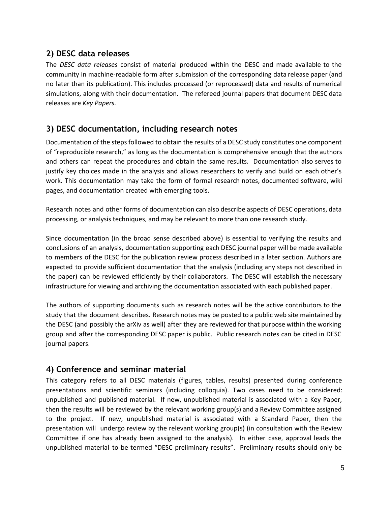#### <span id="page-4-0"></span>**2) DESC data releases**

The *DESC data releases* consist of material produced within the DESC and made available to the community in machine-readable form after submission of the corresponding data release paper (and no later than its publication). This includes processed (or reprocessed) data and results of numerical simulations, along with their documentation. The refereed journal papers that document DESC data releases are *Key Papers.*

#### <span id="page-4-1"></span>**3) DESC documentation, including research notes**

Documentation of the steps followed to obtain the results of a DESC study constitutes one component of "reproducible research," as long as the documentation is comprehensive enough that the authors and others can repeat the procedures and obtain the same results. Documentation also serves to justify key choices made in the analysis and allows researchers to verify and build on each other's work. This documentation may take the form of formal research notes, documented software, wiki pages, and documentation created with emerging tools.

Research notes and other forms of documentation can also describe aspects of DESC operations, data processing, or analysis techniques, and may be relevant to more than one research study.

Since documentation (in the broad sense described above) is essential to verifying the results and conclusions of an analysis, documentation supporting each DESC journal paper will be made available to members of the DESC for the publication review process described in a later section. Authors are expected to provide sufficient documentation that the analysis (including any steps not described in the paper) can be reviewed efficiently by their collaborators. The DESC will establish the necessary infrastructure for viewing and archiving the documentation associated with each published paper.

The authors of supporting documents such as research notes will be the active contributors to the study that the document describes. Research notes may be posted to a public web site maintained by the DESC (and possibly the arXiv as well) after they are reviewed for that purpose within the working group and after the corresponding DESC paper is public. Public research notes can be cited in DESC journal papers.

#### <span id="page-4-2"></span>**4) Conference and seminar material**

This category refers to all DESC materials (figures, tables, results) presented during conference presentations and scientific seminars (including colloquia). Two cases need to be considered: unpublished and published material. If new, unpublished material is associated with a Key Paper, then the results will be reviewed by the relevant working group(s) and a Review Committee assigned to the project. If new, unpublished material is associated with a Standard Paper, then the presentation will undergo review by the relevant working group(s) (in consultation with the Review Committee if one has already been assigned to the analysis). In either case, approval leads the unpublished material to be termed "DESC preliminary results". Preliminary results should only be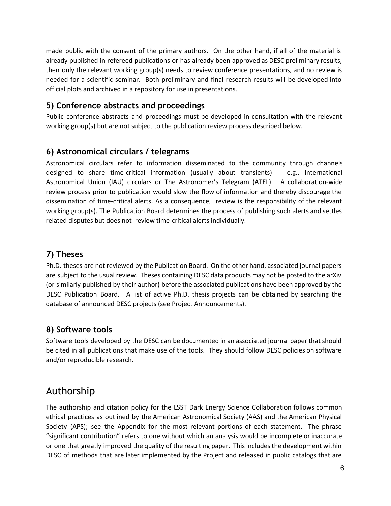made public with the consent of the primary authors. On the other hand, if all of the material is already published in refereed publications or has already been approved as DESC preliminary results, then only the relevant working group(s) needs to review conference presentations, and no review is needed for a scientific seminar. Both preliminary and final research results will be developed into official plots and archived in a repository for use in presentations.

#### <span id="page-5-0"></span>**5) Conference abstracts and proceedings**

Public conference abstracts and proceedings must be developed in consultation with the relevant working group(s) but are not subject to the publication review process described below.

#### <span id="page-5-1"></span>**6) Astronomical circulars / telegrams**

Astronomical circulars refer to information disseminated to the community through channels designed to share time-critical information (usually about transients) -- e.g., International Astronomical Union (IAU) circulars or The Astronomer's Telegram (ATEL). A collaboration-wide review process prior to publication would slow the flow of information and thereby discourage the dissemination of time-critical alerts. As a consequence, review is the responsibility of the relevant working group(s). The Publication Board determines the process of publishing such alerts and settles related disputes but does not review time-critical alerts individually.

### <span id="page-5-2"></span>**7) Theses**

Ph.D. theses are not reviewed by the Publication Board. On the other hand, associated journal papers are subject to the usual review. Theses containing DESC data products may not be posted to the arXiv (or similarly published by their author) before the associated publications have been approved by the DESC Publication Board. A list of active Ph.D. thesis projects can be obtained by searching the database of announced DESC projects (see Project Announcements).

#### <span id="page-5-3"></span>**8) Software tools**

Software tools developed by the DESC can be documented in an associated journal paper that should be cited in all publications that make use of the tools. They should follow DESC policies on software and/or reproducible research.

## <span id="page-5-4"></span>Authorship

The authorship and citation policy for the LSST Dark Energy Science Collaboration follows common ethical practices as outlined by the American Astronomical Society (AAS) and the American Physical Society (APS); see the Appendix for the most relevant portions of each statement. The phrase "significant contribution" refers to one without which an analysis would be incomplete or inaccurate or one that greatly improved the quality of the resulting paper. This includes the development within DESC of methods that are later implemented by the Project and released in public catalogs that are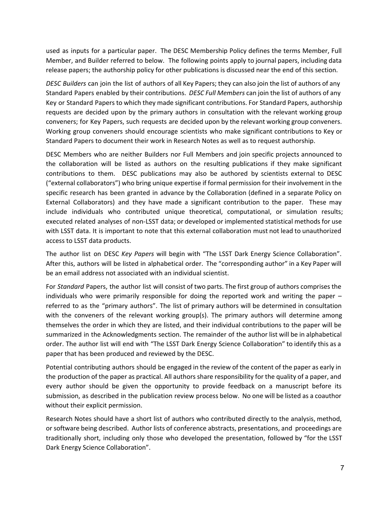used as inputs for a particular paper. The DESC Membership Policy defines the terms Member, Full Member, and Builder referred to below. The following points apply to journal papers, including data release papers; the authorship policy for other publications is discussed near the end of this section.

*DESC Builders* can join the list of authors of all Key Papers; they can also join the list of authors of any Standard Papers enabled by their contributions. *DESC Full Members* can join the list of authors of any Key or Standard Papers to which they made significant contributions. For Standard Papers, authorship requests are decided upon by the primary authors in consultation with the relevant working group conveners; for Key Papers, such requests are decided upon by the relevant working group conveners. Working group conveners should encourage scientists who make significant contributions to Key or Standard Papers to document their work in Research Notes as well as to request authorship.

DESC Members who are neither Builders nor Full Members and join specific projects announced to the collaboration will be listed as authors on the resulting publications if they make significant contributions to them. DESC publications may also be authored by scientists external to DESC ("external collaborators") who bring unique expertise if formal permission for their involvement in the specific research has been granted in advance by the Collaboration (defined in a separate Policy on External Collaborators) and they have made a significant contribution to the paper. These may include individuals who contributed unique theoretical, computational, or simulation results; executed related analyses of non-LSST data; or developed or implemented statistical methods for use with LSST data. It is important to note that this external collaboration must not lead to unauthorized access to LSST data products.

The author list on DESC *Key Papers* will begin with "The LSST Dark Energy Science Collaboration". After this, authors will be listed in alphabetical order. The "corresponding author" in a Key Paper will be an email address not associated with an individual scientist.

For *Standard* Papers, the author list will consist of two parts. The first group of authors comprises the individuals who were primarily responsible for doing the reported work and writing the paper – referred to as the "primary authors". The list of primary authors will be determined in consultation with the conveners of the relevant working group(s). The primary authors will determine among themselves the order in which they are listed, and their individual contributions to the paper will be summarized in the Acknowledgments section. The remainder of the author list will be in alphabetical order. The author list will end with "The LSST Dark Energy Science Collaboration" to identify this as a paper that has been produced and reviewed by the DESC.

Potential contributing authors should be engaged in the review of the content of the paper as early in the production of the paper as practical. All authors share responsibility for the quality of a paper, and every author should be given the opportunity to provide feedback on a manuscript before its submission, as described in the publication review process below. No one will be listed as a coauthor without their explicit permission.

Research Notes should have a short list of authors who contributed directly to the analysis, method, or software being described. Author lists of conference abstracts, presentations, and proceedings are traditionally short, including only those who developed the presentation, followed by "for the LSST Dark Energy Science Collaboration".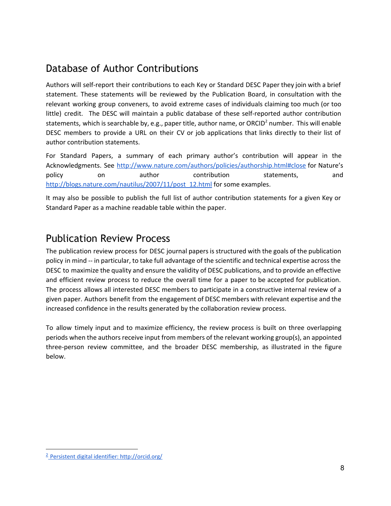### <span id="page-7-0"></span>Database of Author Contributions

Authors will self-report their contributions to each Key or Standard DESC Paper they join with a brief statement. These statements will be reviewed by the Publication Board, in consultation with the relevant working group conveners, to avoid extreme cases of individuals claiming too much (or too little) credit. The DESC will maintain a public database of these self-reported author contribution statements, which is searchable by, e.g., paper title, author name, or ORCID<sup>2</sup> number. This will enable DESC members to provide a URL on their CV or job applications that links directly to their list of author contribution statements.

For Standard Papers, a summary of each primary author's contribution will appear in the Acknowledgments. See <http://www.nature.com/authors/policies/authorship.html#close> [for](http://www.nature.com/authors/policies/authorship.html#close) [Nature's](http://www.nature.com/authors/policies/authorship.html#close) [poli](http://www.nature.com/authors/policies/authorship.html#close)c[y](http://www.nature.com/authors/policies/authorship.html#close) [on](http://www.nature.com/authors/policies/authorship.html#close) [author](http://www.nature.com/authors/policies/authorship.html#close) [contribution](http://www.nature.com/authors/policies/authorship.html#close) [statements,](http://www.nature.com/authors/policies/authorship.html#close) [and](http://www.nature.com/authors/policies/authorship.html#close) [http://blogs.nature.com/nautilus/2007/11/post\\_12.html](http://blogs.nature.com/nautilus/2007/11/post_12.html) for some examples.

It may also be possible to publish the full list of author contribution statements for a given Key or Standard Paper as a machine readable table within the paper.

### <span id="page-7-1"></span>Publication Review Process

The publication review process for DESC journal papers is structured with the goals of the publication policy in mind -- in particular, to take full advantage of the scientific and technical expertise across the DESC to maximize the quality and ensure the validity of DESC publications, and to provide an effective and efficient review process to reduce the overall time for a paper to be accepted for publication. The process allows all interested DESC members to participate in a constructive internal review of a given paper. Authors benefit from the engagement of DESC members with relevant expertise and the increased confidence in the results generated by the collaboration review process.

To allow timely input and to maximize efficiency, the review process is built on three overlapping periods when the authors receive input from members of the relevant working group(s), an appointed three-person review committee, and the broader DESC membership, as illustrated in the figure below.

<sup>2</sup> [Persistent digital identifier: http://orcid.org/](https://docushare.lsstcorp.org/docushare/dsweb/Get/Document-3607)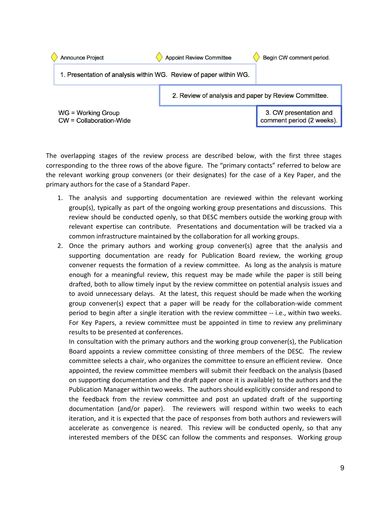

The overlapping stages of the review process are described below, with the first three stages corresponding to the three rows of the above figure. The "primary contacts" referred to below are the relevant working group conveners (or their designates) for the case of a Key Paper, and the primary authors for the case of a Standard Paper.

- 1. The analysis and supporting documentation are reviewed within the relevant working group(s), typically as part of the ongoing working group presentations and discussions. This review should be conducted openly, so that DESC members outside the working group with relevant expertise can contribute. Presentations and documentation will be tracked via a common infrastructure maintained by the collaboration for all working groups.
- 2. Once the primary authors and working group convener(s) agree that the analysis and supporting documentation are ready for Publication Board review, the working group convener requests the formation of a review committee. As long as the analysis is mature enough for a meaningful review, this request may be made while the paper is still being drafted, both to allow timely input by the review committee on potential analysis issues and to avoid unnecessary delays. At the latest, this request should be made when the working group convener(s) expect that a paper will be ready for the collaboration-wide comment period to begin after a single iteration with the review committee -- i.e., within two weeks. For Key Papers, a review committee must be appointed in time to review any preliminary results to be presented at conferences.

In consultation with the primary authors and the working group convener(s), the Publication Board appoints a review committee consisting of three members of the DESC. The review committee selects a chair, who organizes the committee to ensure an efficient review. Once appointed, the review committee members will submit their feedback on the analysis (based on supporting documentation and the draft paper once it is available) to the authors and the Publication Manager within two weeks. The authors should explicitly consider and respond to the feedback from the review committee and post an updated draft of the supporting documentation (and/or paper). The reviewers will respond within two weeks to each iteration, and it is expected that the pace of responses from both authors and reviewers will accelerate as convergence is neared. This review will be conducted openly, so that any interested members of the DESC can follow the comments and responses. Working group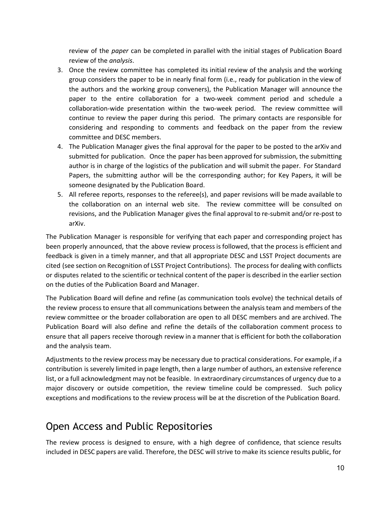review of the *paper* can be completed in parallel with the initial stages of Publication Board review of the *analysis*.

- 3. Once the review committee has completed its initial review of the analysis and the working group considers the paper to be in nearly final form (i.e., ready for publication in the view of the authors and the working group conveners), the Publication Manager will announce the paper to the entire collaboration for a two-week comment period and schedule a collaboration-wide presentation within the two-week period. The review committee will continue to review the paper during this period. The primary contacts are responsible for considering and responding to comments and feedback on the paper from the review committee and DESC members.
- 4. The Publication Manager gives the final approval for the paper to be posted to the arXiv and submitted for publication. Once the paper has been approved for submission, the submitting author is in charge of the logistics of the publication and will submit the paper. For Standard Papers, the submitting author will be the corresponding author; for Key Papers, it will be someone designated by the Publication Board.
- 5. All referee reports, responses to the referee(s), and paper revisions will be made available to the collaboration on an internal web site. The review committee will be consulted on revisions, and the Publication Manager gives the final approval to re-submit and/or re-post to arXiv.

The Publication Manager is responsible for verifying that each paper and corresponding project has been properly announced, that the above review process is followed, that the process is efficient and feedback is given in a timely manner, and that all appropriate DESC and LSST Project documents are cited (see section on Recognition of LSST Project Contributions). The process for dealing with conflicts or disputes related to the scientific or technical content of the paper is described in the earlier section on the duties of the Publication Board and Manager.

The Publication Board will define and refine (as communication tools evolve) the technical details of the review process to ensure that all communications between the analysis team and members of the review committee or the broader collaboration are open to all DESC members and are archived. The Publication Board will also define and refine the details of the collaboration comment process to ensure that all papers receive thorough review in a manner that is efficient for both the collaboration and the analysis team.

Adjustments to the review process may be necessary due to practical considerations. For example, if a contribution is severely limited in page length, then a large number of authors, an extensive reference list, or a full acknowledgment may not be feasible. In extraordinary circumstances of urgency due to a major discovery or outside competition, the review timeline could be compressed. Such policy exceptions and modifications to the review process will be at the discretion of the Publication Board.

### <span id="page-9-0"></span>Open Access and Public Repositories

The review process is designed to ensure, with a high degree of confidence, that science results included in DESC papers are valid. Therefore, the DESC will strive to make its science results public, for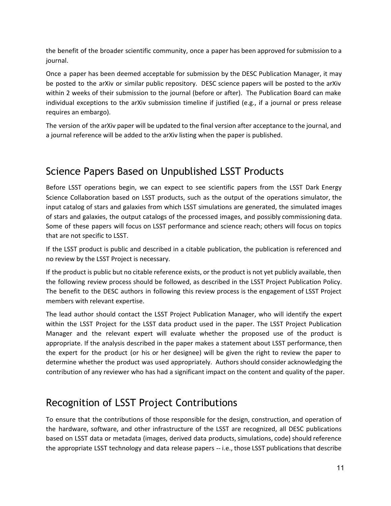the benefit of the broader scientific community, once a paper has been approved for submission to a journal.

Once a paper has been deemed acceptable for submission by the DESC Publication Manager, it may be posted to the arXiv or similar public repository. DESC science papers will be posted to the arXiv within 2 weeks of their submission to the journal (before or after). The Publication Board can make individual exceptions to the arXiv submission timeline if justified (e.g., if a journal or press release requires an embargo).

The version of the arXiv paper will be updated to the final version after acceptance to the journal, and a journal reference will be added to the arXiv listing when the paper is published.

# <span id="page-10-0"></span>Science Papers Based on Unpublished LSST Products

Before LSST operations begin, we can expect to see scientific papers from the LSST Dark Energy Science Collaboration based on LSST products, such as the output of the operations simulator, the input catalog of stars and galaxies from which LSST simulations are generated, the simulated images of stars and galaxies, the output catalogs of the processed images, and possibly commissioning data. Some of these papers will focus on LSST performance and science reach; others will focus on topics that are not specific to LSST.

If the LSST product is public and described in a citable publication, the publication is referenced and no review by the LSST Project is necessary.

If the product is public but no citable reference exists, or the product is not yet publicly available, then the following review process should be followed, as described in the LSST Project Publication Policy. The benefit to the DESC authors in following this review process is the engagement of LSST Project members with relevant expertise.

The lead author should contact the LSST Project Publication Manager, who will identify the expert within the LSST Project for the LSST data product used in the paper. The LSST Project Publication Manager and the relevant expert will evaluate whether the proposed use of the product is appropriate. If the analysis described in the paper makes a statement about LSST performance, then the expert for the product (or his or her designee) will be given the right to review the paper to determine whether the product was used appropriately. Authors should consider acknowledging the contribution of any reviewer who has had a significant impact on the content and quality of the paper.

## <span id="page-10-1"></span>Recognition of LSST Project Contributions

To ensure that the contributions of those responsible for the design, construction, and operation of the hardware, software, and other infrastructure of the LSST are recognized, all DESC publications based on LSST data or metadata (images, derived data products, simulations, code) should reference the appropriate LSST technology and data release papers -- i.e., those LSST publications that describe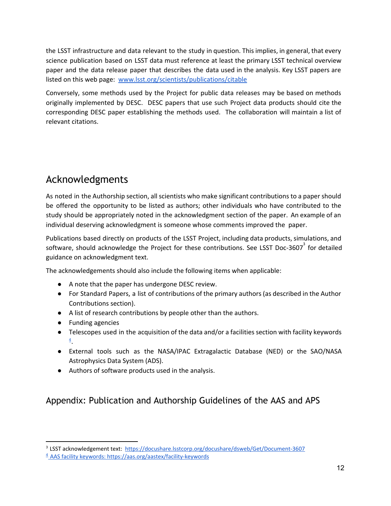the LSST infrastructure and data relevant to the study in question. This implies, in general, that every science publication based on LSST data must reference at least the primary LSST technical overview paper and the data release paper that describes the data used in the analysis. Key LSST papers are listed on this web page:  [www.lsst.org/scientists/publications/citable](http://www.lsst.org/scientists/publications/citable)

[Conversely,](http://www.lsst.org/scientists/publications/citable) some methods used by the Project for public data releases may be based on methods originally [implemented](http://www.lsst.org/scientists/publications/citable) by DESC. DESC papers that use such Project data products should cite the [corresponding](http://www.lsst.org/scientists/publications/citable) DESC paper establishing the methods used. The collaboration will maintain a list of [relevant citations.](http://www.lsst.org/scientists/publications/citable)

## <span id="page-11-0"></span>Acknowledgments

As noted in the Authorship section, all scientists who make significant contributions to a paper should be offered the opportunity to be listed as authors; other individuals who have contributed to the study should be appropriately noted in the acknowledgment section of the paper. An example of an individual deserving acknowledgment is someone whose comments improved the paper.

Publications based directly on products of the LSST Project, including data products, simulations, and software, should acknowledge the Project for these contributions. See LSST Doc-3607<sup>3</sup> for detailed guidance on acknowledgment text.

The acknowledgements should also include the following items when applicable:

- A note that the paper has undergone DESC review.
- For Standard Papers, a list of contributions of the primary authors (as described in the Author Contributions section).
- A list of research contributions by people other than the authors.
- Funding agencies
- Telescopes used in the acquisition of the data and/or a facilities section with facility keywords  $\frac{4}{1}$  $\frac{4}{1}$  $\frac{4}{1}$ .
- External tools such as the NASA/IPAC Extragalactic Database (NED) or the SAO/NASA Astrophysics Data System (ADS).
- Authors of software products used in the analysis.

### <span id="page-11-1"></span>Appendix: Publication and Authorship Guidelines of the AAS and APS

<sup>&</sup>lt;sup>3</sup> LSST acknowledgement text: https://docushare.lsstcorp.org/docushare/dsweb/Get/Document-3607

<sup>&</sup>lt;sup>4</sup> AAS facility keywords: https://aas.org/aastex/facility-keywords